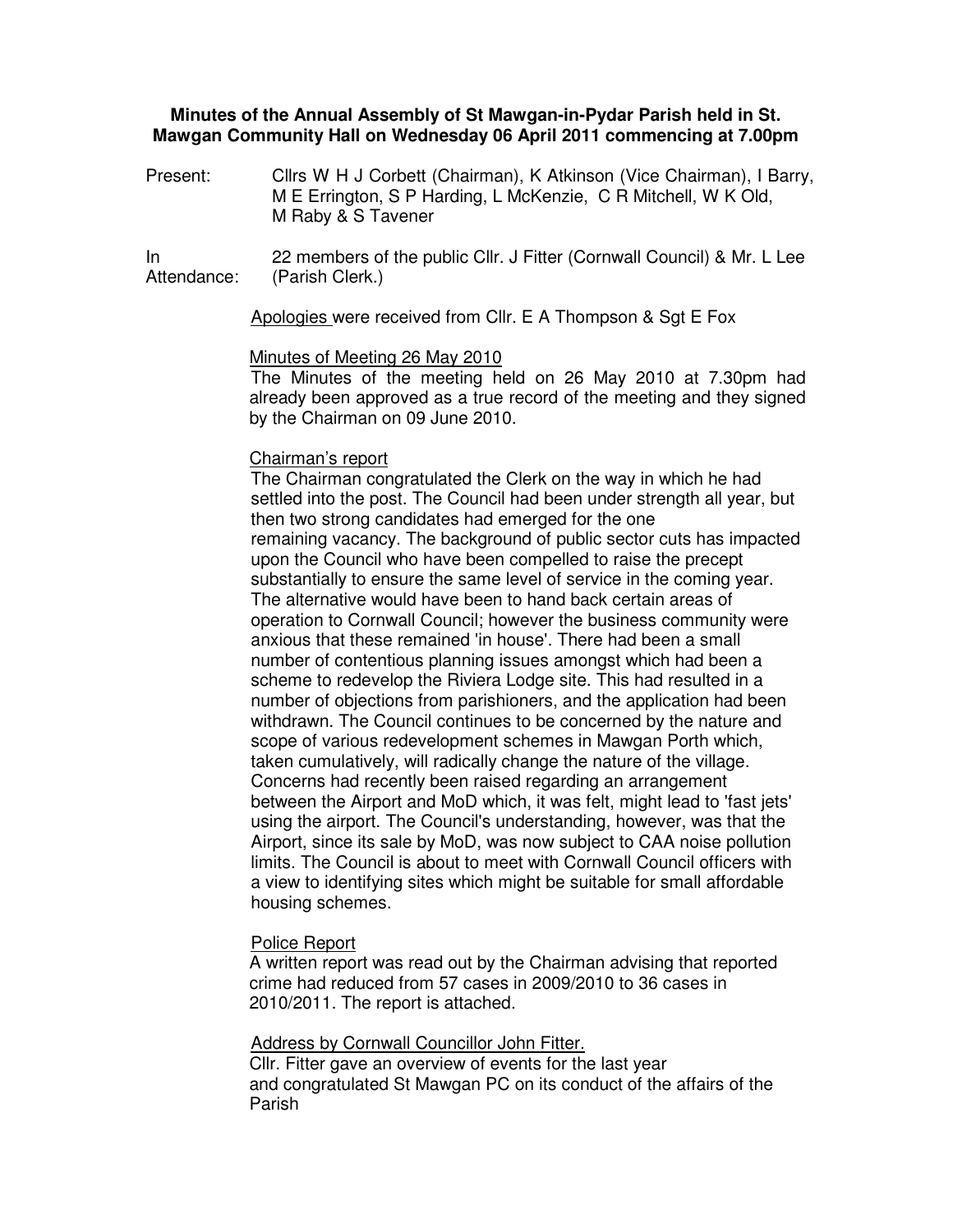## **Minutes of the Annual Assembly of St Mawgan-in-Pydar Parish held in St. Mawgan Community Hall on Wednesday 06 April 2011 commencing at 7.00pm**

Present: Cllrs W H J Corbett (Chairman), K Atkinson (Vice Chairman), I Barry, M E Errington, S P Harding, L McKenzie, C R Mitchell, W K Old, M Raby & S Tavener

In Attendance: 22 members of the public Cllr. J Fitter (Cornwall Council) & Mr. L Lee (Parish Clerk.)

Apologies were received from Cllr. E A Thompson & Sgt E Fox

## Minutes of Meeting 26 May 2010

The Minutes of the meeting held on 26 May 2010 at 7.30pm had already been approved as a true record of the meeting and they signed by the Chairman on 09 June 2010.

# Chairman's report

The Chairman congratulated the Clerk on the way in which he had settled into the post. The Council had been under strength all year, but then two strong candidates had emerged for the one remaining vacancy. The background of public sector cuts has impacted upon the Council who have been compelled to raise the precept substantially to ensure the same level of service in the coming year. The alternative would have been to hand back certain areas of operation to Cornwall Council; however the business community were anxious that these remained 'in house'. There had been a small number of contentious planning issues amongst which had been a scheme to redevelop the Riviera Lodge site. This had resulted in a number of objections from parishioners, and the application had been withdrawn. The Council continues to be concerned by the nature and scope of various redevelopment schemes in Mawgan Porth which, taken cumulatively, will radically change the nature of the village. Concerns had recently been raised regarding an arrangement between the Airport and MoD which, it was felt, might lead to 'fast jets' using the airport. The Council's understanding, however, was that the Airport, since its sale by MoD, was now subject to CAA noise pollution limits. The Council is about to meet with Cornwall Council officers with a view to identifying sites which might be suitable for small affordable housing schemes.

### Police Report

A written report was read out by the Chairman advising that reported crime had reduced from 57 cases in 2009/2010 to 36 cases in 2010/2011. The report is attached.

### Address by Cornwall Councillor John Fitter.

Cllr. Fitter gave an overview of events for the last year and congratulated St Mawgan PC on its conduct of the affairs of the Parish